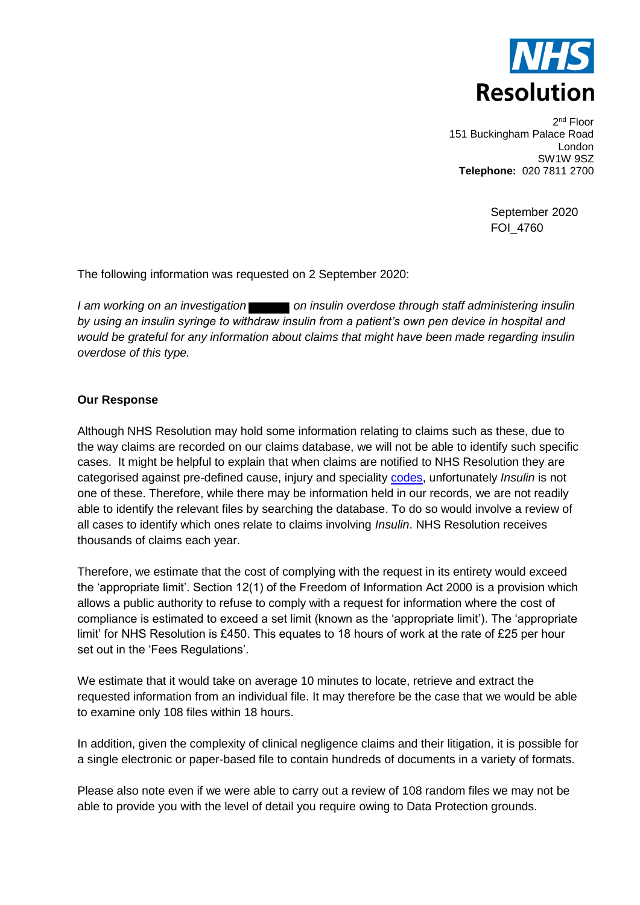

2<sup>nd</sup> Floor 151 Buckingham Palace Road London SW1W 9SZ **Telephone:** 020 7811 2700

> September 2020 FOI\_4760

The following information was requested on 2 September 2020:

*I am working on an investigation* on insulin overdose through staff administering insulin *by using an insulin syringe to withdraw insulin from a patient's own pen device in hospital and would be grateful for any information about claims that might have been made regarding insulin overdose of this type.*

## **Our Response**

Although NHS Resolution may hold some information relating to claims such as these, due to the way claims are recorded on our claims database, we will not be able to identify such specific cases. It might be helpful to explain that when claims are notified to NHS Resolution they are categorised against pre-defined cause, injury and speciality [codes,](https://resolution.nhs.uk/wp-content/uploads/2018/10/Guidance-note-Understanding-NHS-Resolution-data-v2.pdf) unfortunately *Insulin* is not one of these. Therefore, while there may be information held in our records, we are not readily able to identify the relevant files by searching the database. To do so would involve a review of all cases to identify which ones relate to claims involving *Insulin*. NHS Resolution receives thousands of claims each year.

Therefore, we estimate that the cost of complying with the request in its entirety would exceed the 'appropriate limit'. Section 12(1) of the Freedom of Information Act 2000 is a provision which allows a public authority to refuse to comply with a request for information where the cost of compliance is estimated to exceed a set limit (known as the 'appropriate limit'). The 'appropriate limit' for NHS Resolution is £450. This equates to 18 hours of work at the rate of £25 per hour set out in the 'Fees Regulations'.

We estimate that it would take on average 10 minutes to locate, retrieve and extract the requested information from an individual file. It may therefore be the case that we would be able to examine only 108 files within 18 hours.

In addition, given the complexity of clinical negligence claims and their litigation, it is possible for a single electronic or paper-based file to contain hundreds of documents in a variety of formats.

Please also note even if we were able to carry out a review of 108 random files we may not be able to provide you with the level of detail you require owing to Data Protection grounds.